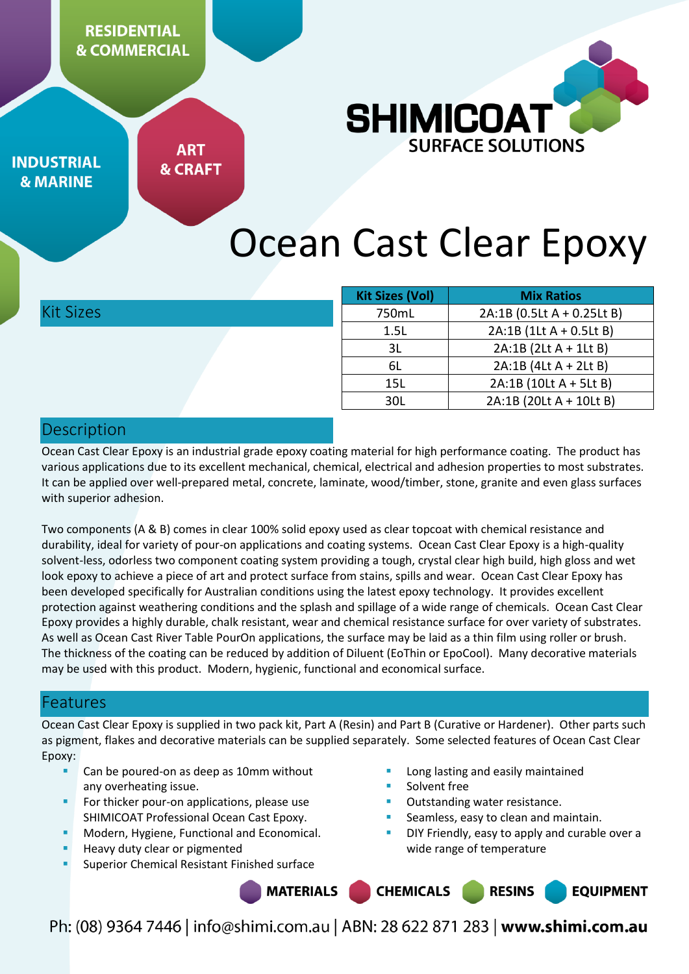

**INDUSTRIAL & MARINE** 

**ART & CRAFT** 

# Ocean Cast Clear Epoxy

Kit Sizes

| <b>Kit Sizes (Vol)</b> | <b>Mix Ratios</b>          |
|------------------------|----------------------------|
| 750mL                  | 2A:1B (0.5Lt A + 0.25Lt B) |
| 1.5L                   | 2A:1B (1Lt A + 0.5Lt B)    |
| 3L                     | $2A:1B(2Lt A + 1Lt B)$     |
| 6L                     | 2A:1B (4Lt A + 2Lt B)      |
| 15L                    | 2A:1B (10Lt A + 5Lt B)     |
| 30I.                   | 2A:1B (20Lt A + 10Lt B)    |

# Description

Ocean Cast Clear Epoxy is an industrial grade epoxy coating material for high performance coating. The product has various applications due to its excellent mechanical, chemical, electrical and adhesion properties to most substrates. It can be applied over well-prepared metal, concrete, laminate, wood/timber, stone, granite and even glass surfaces with superior adhesion.

Two components (A & B) comes in clear 100% solid epoxy used as clear topcoat with chemical resistance and durability, ideal for variety of pour-on applications and coating systems. Ocean Cast Clear Epoxy is a high-quality solvent-less, odorless two component coating system providing a tough, crystal clear high build, high gloss and wet look epoxy to achieve a piece of art and protect surface from stains, spills and wear. Ocean Cast Clear Epoxy has been developed specifically for Australian conditions using the latest epoxy technology. It provides excellent protection against weathering conditions and the splash and spillage of a wide range of chemicals. Ocean Cast Clear Epoxy provides a highly durable, chalk resistant, wear and chemical resistance surface for over variety of substrates. As well as Ocean Cast River Table PourOn applications, the surface may be laid as a thin film using roller or brush. The thickness of the coating can be reduced by addition of Diluent (EoThin or EpoCool). Many decorative materials may be used with this product. Modern, hygienic, functional and economical surface.

# Features

Ocean Cast Clear Epoxy is supplied in two pack kit, Part A (Resin) and Part B (Curative or Hardener). Other parts such as pigment, flakes and decorative materials can be supplied separately. Some selected features of Ocean Cast Clear Epoxy:

- Can be poured-on as deep as 10mm without any overheating issue.
- For thicker pour-on applications, please use SHIMICOAT Professional Ocean Cast Epoxy.
- Modern, Hygiene, Functional and Economical.
- Heavy duty clear or pigmented
- Superior Chemical Resistant Finished surface
- Long lasting and easily maintained
- Solvent free
- Outstanding water resistance.
- Seamless, easy to clean and maintain.
- DIY Friendly, easy to apply and curable over a wide range of temperature

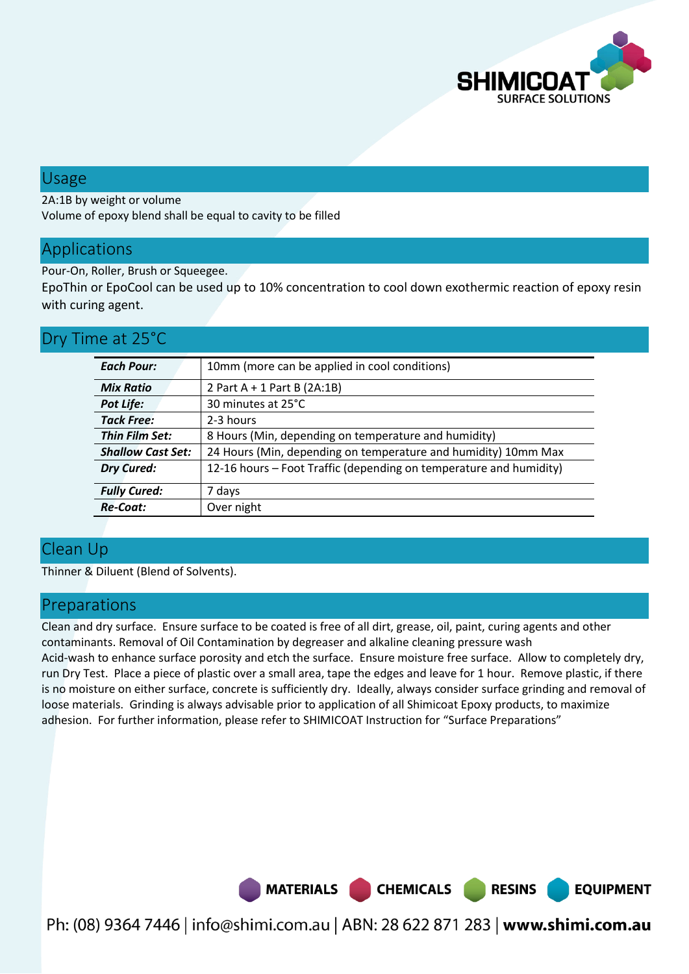

## Usage

2A:1B by weight or volume

Volume of epoxy blend shall be equal to cavity to be filled

# Applications

Pour-On, Roller, Brush or Squeegee.

EpoThin or EpoCool can be used up to 10% concentration to cool down exothermic reaction of epoxy resin with curing agent.

# Dry Time at 25°C

| 10mm (more can be applied in cool conditions)<br>2 Part A + 1 Part B (2A:1B)<br>30 minutes at 25°C<br>2-3 hours |  |
|-----------------------------------------------------------------------------------------------------------------|--|
|                                                                                                                 |  |
|                                                                                                                 |  |
|                                                                                                                 |  |
|                                                                                                                 |  |
|                                                                                                                 |  |
| 8 Hours (Min, depending on temperature and humidity)                                                            |  |
| 24 Hours (Min, depending on temperature and humidity) 10mm Max                                                  |  |
| 12-16 hours - Foot Traffic (depending on temperature and humidity)                                              |  |
| 7 days                                                                                                          |  |
| Over night                                                                                                      |  |
|                                                                                                                 |  |

# Clean Up

Thinner & Diluent (Blend of Solvents).

# Preparations

Clean and dry surface. Ensure surface to be coated is free of all dirt, grease, oil, paint, curing agents and other contaminants. Removal of Oil Contamination by degreaser and alkaline cleaning pressure wash Acid-wash to enhance surface porosity and etch the surface. Ensure moisture free surface. Allow to completely dry, run Dry Test. Place a piece of plastic over a small area, tape the edges and leave for 1 hour. Remove plastic, if there is no moisture on either surface, concrete is sufficiently dry. Ideally, always consider surface grinding and removal of loose materials. Grinding is always advisable prior to application of all Shimicoat Epoxy products, to maximize adhesion. For further information, please refer to SHIMICOAT Instruction for "Surface Preparations"

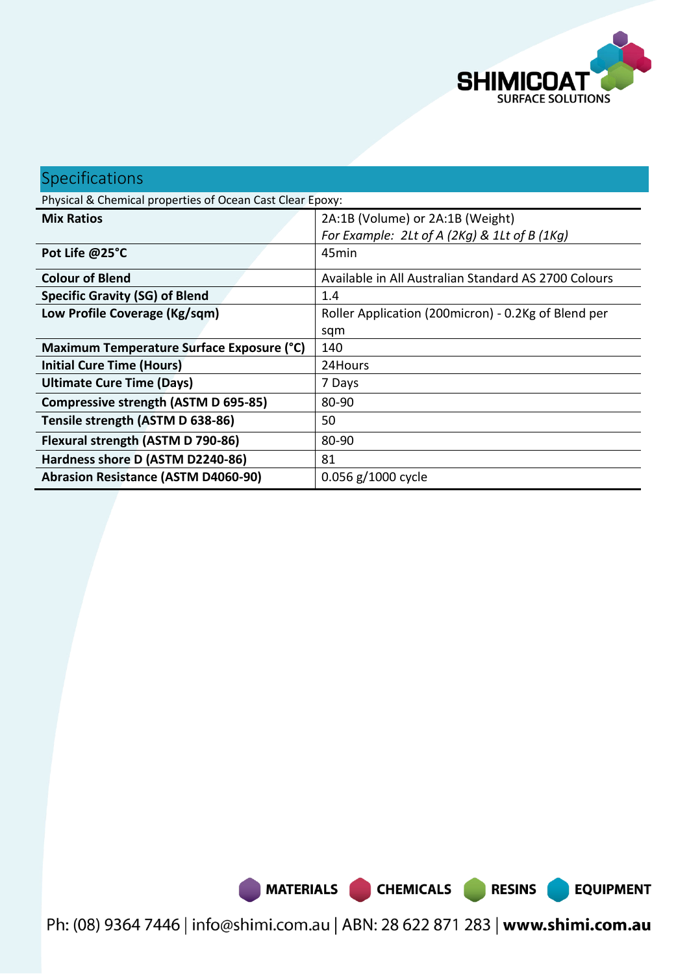

**EQUIPMENT** 

# Specifications

Physical & Chemical properties of Ocean Cast Clear Epoxy:

| <b>Mix Ratios</b>                          | 2A:1B (Volume) or 2A:1B (Weight)                     |
|--------------------------------------------|------------------------------------------------------|
|                                            | For Example: 2Lt of A (2Kg) & 1Lt of B (1Kg)         |
| Pot Life @25°C                             | 45min                                                |
| <b>Colour of Blend</b>                     | Available in All Australian Standard AS 2700 Colours |
| <b>Specific Gravity (SG) of Blend</b>      | 1.4                                                  |
| Low Profile Coverage (Kg/sqm)              | Roller Application (200micron) - 0.2Kg of Blend per  |
|                                            | sqm                                                  |
| Maximum Temperature Surface Exposure (°C)  | 140                                                  |
| <b>Initial Cure Time (Hours)</b>           | 24Hours                                              |
| <b>Ultimate Cure Time (Days)</b>           | 7 Days                                               |
| Compressive strength (ASTM D 695-85)       | 80-90                                                |
| Tensile strength (ASTM D 638-86)           | 50                                                   |
| Flexural strength (ASTM D 790-86)          | 80-90                                                |
| Hardness shore D (ASTM D2240-86)           | 81                                                   |
| <b>Abrasion Resistance (ASTM D4060-90)</b> | 0.056 g/1000 cycle                                   |

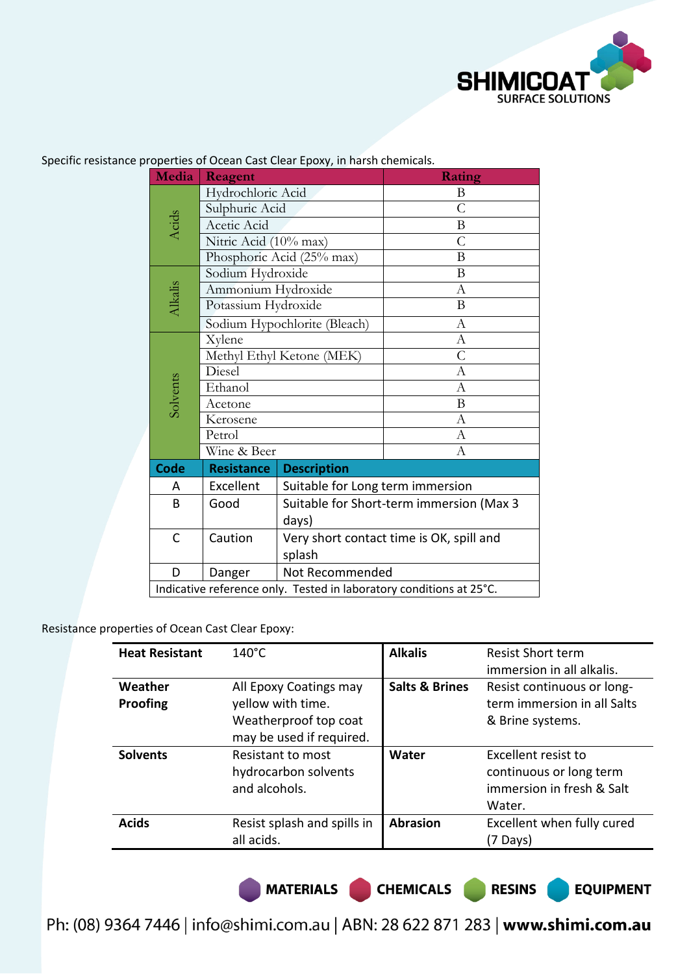

| Media                                                               | Reagent                      |                                          | Rating         |  |
|---------------------------------------------------------------------|------------------------------|------------------------------------------|----------------|--|
|                                                                     | Hydrochloric Acid            |                                          | B              |  |
| Acids                                                               | Sulphuric Acid               |                                          | $\mathcal{C}$  |  |
|                                                                     | Acetic Acid                  |                                          | B              |  |
|                                                                     | Nitric Acid (10% max)        |                                          | $\overline{C}$ |  |
|                                                                     |                              | Phosphoric Acid (25% max)                | B              |  |
|                                                                     | Sodium Hydroxide             |                                          | B              |  |
|                                                                     | Ammonium Hydroxide           |                                          | $\overline{A}$ |  |
| Alkalis                                                             | Potassium Hydroxide          |                                          | B              |  |
|                                                                     | Sodium Hypochlorite (Bleach) |                                          | A              |  |
|                                                                     | Xylene                       |                                          | $\mathbf{A}$   |  |
|                                                                     | Methyl Ethyl Ketone (MEK)    |                                          | $\overline{C}$ |  |
|                                                                     | Diesel                       |                                          | $\Lambda$      |  |
| Solvents                                                            | Ethanol                      |                                          | A              |  |
|                                                                     | Acetone                      |                                          | B              |  |
|                                                                     | Kerosene                     |                                          | A              |  |
|                                                                     | Petrol                       |                                          | А              |  |
|                                                                     | Wine & Beer                  |                                          | A              |  |
| <b>Code</b>                                                         | <b>Resistance</b>            | <b>Description</b>                       |                |  |
| Α                                                                   | Excellent                    | Suitable for Long term immersion         |                |  |
| B                                                                   | Good                         | Suitable for Short-term immersion (Max 3 |                |  |
|                                                                     |                              | days)                                    |                |  |
| C                                                                   | Caution                      | Very short contact time is OK, spill and |                |  |
|                                                                     |                              | splash                                   |                |  |
| D                                                                   | Danger                       | Not Recommended                          |                |  |
| Indicative reference only. Tested in laboratory conditions at 25°C. |                              |                                          |                |  |

Specific resistance properties of Ocean Cast Clear Epoxy, in harsh chemicals.

Resistance properties of Ocean Cast Clear Epoxy:

| <b>Heat Resistant</b> | $140^{\circ}$ C                                                                                  | <b>Alkalis</b>            | <b>Resist Short term</b><br>immersion in all alkalis.                                 |
|-----------------------|--------------------------------------------------------------------------------------------------|---------------------------|---------------------------------------------------------------------------------------|
| Weather<br>Proofing   | All Epoxy Coatings may<br>yellow with time.<br>Weatherproof top coat<br>may be used if required. | <b>Salts &amp; Brines</b> | Resist continuous or long-<br>term immersion in all Salts<br>& Brine systems.         |
| <b>Solvents</b>       | Resistant to most<br>hydrocarbon solvents<br>and alcohols.                                       | Water                     | Excellent resist to<br>continuous or long term<br>immersion in fresh & Salt<br>Water. |
| <b>Acids</b>          | Resist splash and spills in<br>all acids.                                                        | <b>Abrasion</b>           | Excellent when fully cured<br>(7 Days)                                                |

MATERIALS CHEMICALS RESINS

**EQUIPMENT**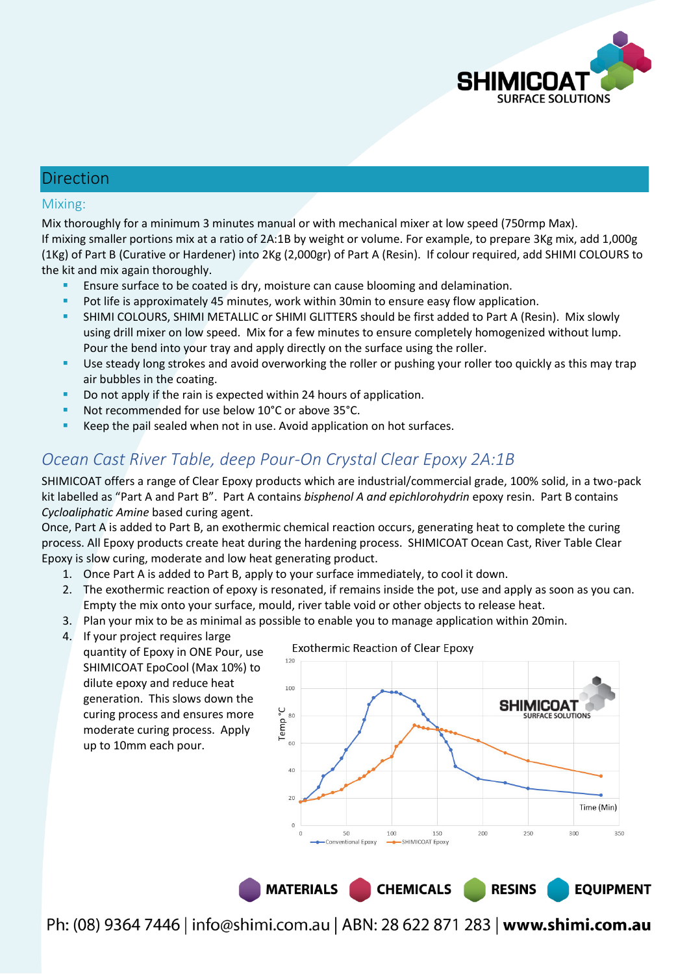

### Direction

#### Mixing:

Mix thoroughly for a minimum 3 minutes manual or with mechanical mixer at low speed (750rmp Max). If mixing smaller portions mix at a ratio of 2A:1B by weight or volume. For example, to prepare 3Kg mix, add 1,000g (1Kg) of Part B (Curative or Hardener) into 2Kg (2,000gr) of Part A (Resin). If colour required, add SHIMI COLOURS to the kit and mix again thoroughly.

- Ensure surface to be coated is dry, moisture can cause blooming and delamination.
- **Pot life is approximately 45 minutes, work within 30min to ensure easy flow application.**
- SHIMI COLOURS, SHIMI METALLIC or SHIMI GLITTERS should be first added to Part A (Resin). Mix slowly using drill mixer on low speed. Mix for a few minutes to ensure completely homogenized without lump. Pour the bend into your tray and apply directly on the surface using the roller.
- Use steady long strokes and avoid overworking the roller or pushing your roller too quickly as this may trap air bubbles in the coating.
- Do not apply if the rain is expected within 24 hours of application.
- Not recommended for use below 10°C or above 35°C.
- Keep the pail sealed when not in use. Avoid application on hot surfaces.

# *Ocean Cast River Table, deep Pour-On Crystal Clear Epoxy 2A:1B*

SHIMICOAT offers a range of Clear Epoxy products which are industrial/commercial grade, 100% solid, in a two-pack kit labelled as "Part A and Part B". Part A contains *bisphenol A and epichlorohydrin* epoxy resin. Part B contains *Cycloaliphatic Amine* based curing agent.

Once, Part A is added to Part B, an exothermic chemical reaction occurs, generating heat to complete the curing process. All Epoxy products create heat during the hardening process. SHIMICOAT Ocean Cast, River Table Clear Epoxy is slow curing, moderate and low heat generating product.

- 1. Once Part A is added to Part B, apply to your surface immediately, to cool it down.
- 2. The exothermic reaction of epoxy is resonated, if remains inside the pot, use and apply as soon as you can. Empty the mix onto your surface, mould, river table void or other objects to release heat.
- 3. Plan your mix to be as minimal as possible to enable you to manage application within 20min.
- 4. If your project requires large quantity of Epoxy in ONE Pour, use SHIMICOAT EpoCool (Max 10%) to dilute epoxy and reduce heat generation. This slows down the curing process and ensures more moderate curing process. Apply up to 10mm each pour.

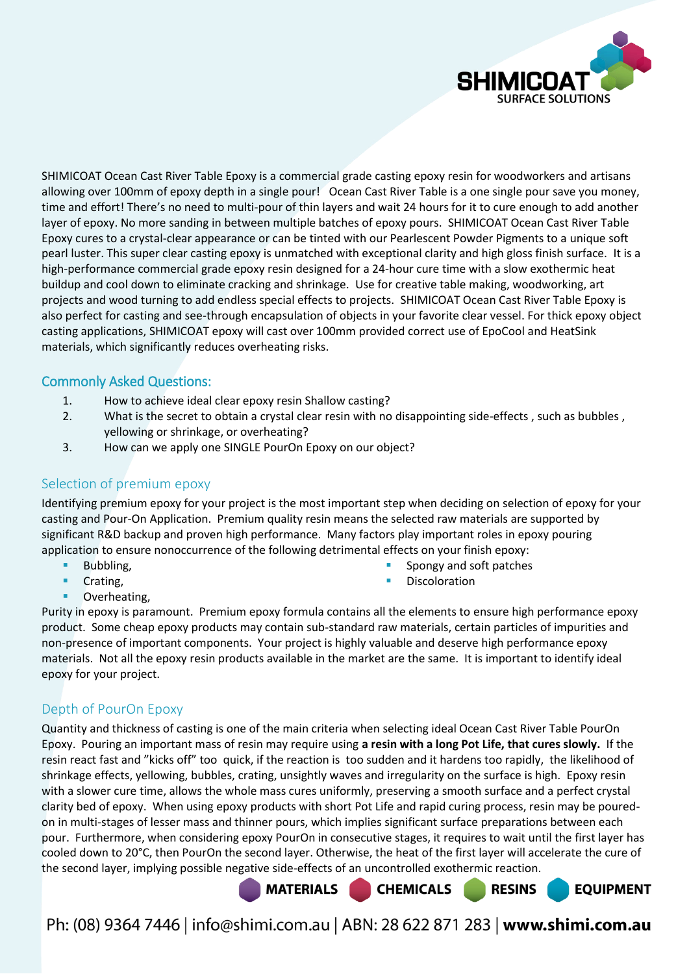

SHIMICOAT Ocean Cast River Table Epoxy is a commercial grade casting epoxy resin for woodworkers and artisans allowing over 100mm of epoxy depth in a single pour! Ocean Cast River Table is a one single pour save you money, time and effort! There's no need to multi-pour of thin layers and wait 24 hours for it to cure enough to add another layer of epoxy. No more sanding in between multiple batches of epoxy pours. SHIMICOAT Ocean Cast River Table Epoxy cures to a crystal-clear appearance or can be tinted with our Pearlescent Powder Pigments to a unique soft pearl luster. This super clear casting epoxy is unmatched with exceptional clarity and high gloss finish surface. It is a high-performance commercial grade epoxy resin designed for a 24-hour cure time with a slow exothermic heat buildup and cool down to eliminate cracking and shrinkage. Use for creative table making, woodworking, art projects and wood turning to add endless special effects to projects. SHIMICOAT Ocean Cast River Table Epoxy is also perfect for casting and see-through encapsulation of objects in your favorite clear vessel. For thick epoxy object casting applications, SHIMICOAT epoxy will cast over 100mm provided correct use of EpoCool and HeatSink materials, which significantly reduces overheating risks.

#### Commonly Asked Questions:

- 1. How to achieve ideal clear epoxy resin Shallow casting?
- 2. What is the secret to obtain a crystal clear resin with no disappointing side-effects , such as bubbles , yellowing or shrinkage, or overheating?
- 3. How can we apply one SINGLE PourOn Epoxy on our object?

## Selection of premium epoxy

Identifying premium epoxy for your project is the most important step when deciding on selection of epoxy for your casting and Pour-On Application. Premium quality resin means the selected raw materials are supported by significant R&D backup and proven high performance. Many factors play important roles in epoxy pouring application to ensure nonoccurrence of the following detrimental effects on your finish epoxy:

- Bubbling,
- Crating,
	-
- Spongy and soft patches
- Discoloration

Overheating,

Purity in epoxy is paramount. Premium epoxy formula contains all the elements to ensure high performance epoxy product. Some cheap epoxy products may contain sub-standard raw materials, certain particles of impurities and non-presence of important components. Your project is highly valuable and deserve high performance epoxy materials. Not all the epoxy resin products available in the market are the same. It is important to identify ideal epoxy for your project.

# Depth of PourOn Epoxy

Quantity and thickness of casting is one of the main criteria when selecting ideal Ocean Cast River Table PourOn Epoxy. Pouring an important mass of resin may require using **a resin with a long Pot Life, that cures slowly.** If the resin react fast and "kicks off" too quick, if the reaction is too sudden and it hardens too rapidly, the likelihood of shrinkage effects, yellowing, bubbles, crating, unsightly waves and irregularity on the surface is high. Epoxy resin with a slower cure time, allows the whole mass cures uniformly, preserving a smooth surface and a perfect crystal clarity bed of epoxy. When using epoxy products with short Pot Life and rapid curing process, resin may be pouredon in multi-stages of lesser mass and thinner pours, which implies significant surface preparations between each pour. Furthermore, when considering epoxy PourOn in consecutive stages, it requires to wait until the first layer has cooled down to 20°C, then PourOn the second layer. Otherwise, the heat of the first layer will accelerate the cure of the second layer, implying possible negative side-effects of an uncontrolled exothermic reaction.

**MATERIALS** 

Ph: (08) 9364 7446 | info@shimi.com.au | ABN: 28 622 871 283 | www.shimi.com.au

**CHEMICALS** 

**RESINS** 

**EQUIPMENT**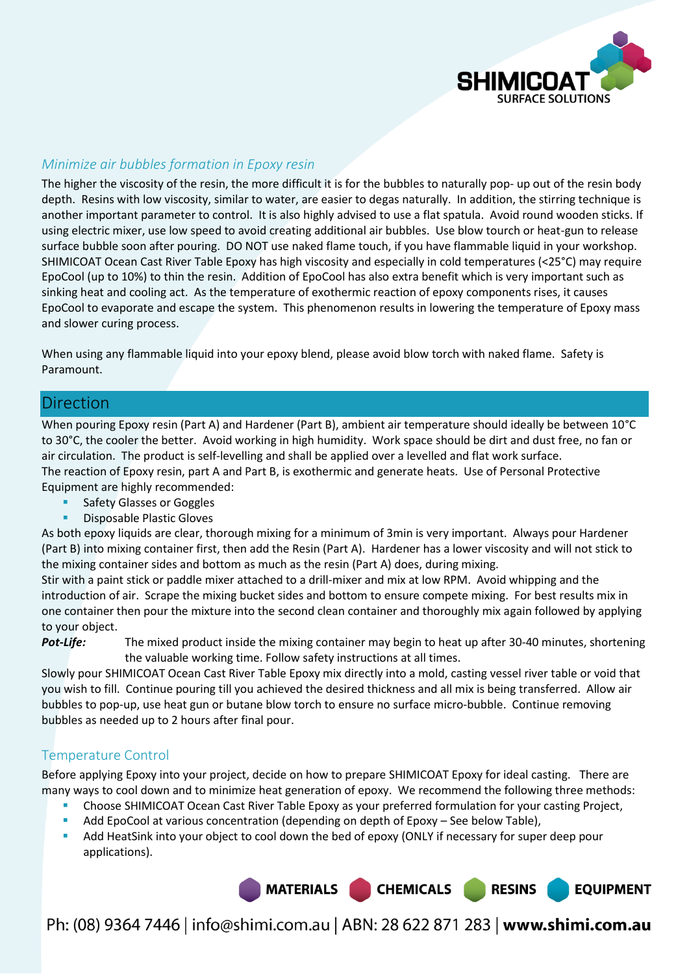

#### *Minimize air bubbles formation in Epoxy resin*

The higher the viscosity of the resin, the more difficult it is for the bubbles to naturally pop- up out of the resin body depth. Resins with low viscosity, similar to water, are easier to degas naturally. In addition, the stirring technique is another important parameter to control. It is also highly advised to use a flat spatula. Avoid round wooden sticks. If using electric mixer, use low speed to avoid creating additional air bubbles. Use blow tourch or heat-gun to release surface bubble soon after pouring. DO NOT use naked flame touch, if you have flammable liquid in your workshop. SHIMICOAT Ocean Cast River Table Epoxy has high viscosity and especially in cold temperatures (<25°C) may require EpoCool (up to 10%) to thin the resin. Addition of EpoCool has also extra benefit which is very important such as sinking heat and cooling act. As the temperature of exothermic reaction of epoxy components rises, it causes EpoCool to evaporate and escape the system. This phenomenon results in lowering the temperature of Epoxy mass and slower curing process.

When using any flammable liquid into your epoxy blend, please avoid blow torch with naked flame. Safety is Paramount.

#### Direction

When pouring Epoxy resin (Part A) and Hardener (Part B), ambient air temperature should ideally be between 10°C to 30°C, the cooler the better. Avoid working in high humidity. Work space should be dirt and dust free, no fan or air circulation. The product is self-levelling and shall be applied over a levelled and flat work surface. The reaction of Epoxy resin, part A and Part B, is exothermic and generate heats. Use of Personal Protective Equipment are highly recommended:

- Safety Glasses or Goggles
- Disposable Plastic Gloves

As both epoxy liquids are clear, thorough mixing for a minimum of 3min is very important. Always pour Hardener (Part B) into mixing container first, then add the Resin (Part A). Hardener has a lower viscosity and will not stick to the mixing container sides and bottom as much as the resin (Part A) does, during mixing.

Stir with a paint stick or paddle mixer attached to a drill-mixer and mix at low RPM. Avoid whipping and the introduction of air. Scrape the mixing bucket sides and bottom to ensure compete mixing. For best results mix in one container then pour the mixture into the second clean container and thoroughly mix again followed by applying to your object.

*Pot-Life:* The mixed product inside the mixing container may begin to heat up after 30-40 minutes, shortening the valuable working time. Follow safety instructions at all times.

Slowly pour SHIMICOAT Ocean Cast River Table Epoxy mix directly into a mold, casting vessel river table or void that you wish to fill. Continue pouring till you achieved the desired thickness and all mix is being transferred. Allow air bubbles to pop-up, use heat gun or butane blow torch to ensure no surface micro-bubble. Continue removing bubbles as needed up to 2 hours after final pour.

#### Temperature Control

Before applying Epoxy into your project, decide on how to prepare SHIMICOAT Epoxy for ideal casting. There are many ways to cool down and to minimize heat generation of epoxy. We recommend the following three methods:

- Choose SHIMICOAT Ocean Cast River Table Epoxy as your preferred formulation for your casting Project,
- Add EpoCool at various concentration (depending on depth of Epoxy See below Table),
- Add HeatSink into your object to cool down the bed of epoxy (ONLY if necessary for super deep pour applications).

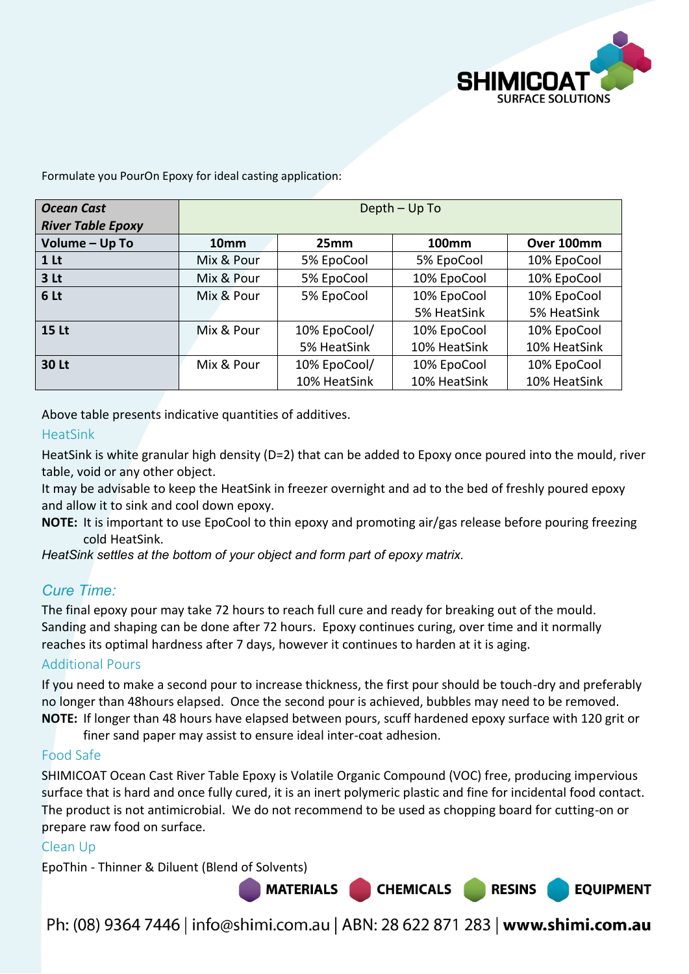

Formulate you PourOn Epoxy for ideal casting application:

| <b>Ocean Cast</b><br><b>River Table Epoxy</b> | Depth - Up To    |              |              |              |
|-----------------------------------------------|------------------|--------------|--------------|--------------|
| Volume - Up To                                | 10 <sub>mm</sub> | 25mm         | <b>100mm</b> | Over 100mm   |
| 1 <sub>lt</sub>                               | Mix & Pour       | 5% EpoCool   | 5% EpoCool   | 10% EpoCool  |
| 3 <sub>lt</sub>                               | Mix & Pour       | 5% EpoCool   | 10% EpoCool  | 10% EpoCool  |
| 6 Lt                                          | Mix & Pour       | 5% EpoCool   | 10% EpoCool  | 10% EpoCool  |
|                                               |                  |              | 5% HeatSink  | 5% HeatSink  |
| <b>15 Lt</b>                                  | Mix & Pour       | 10% EpoCool/ | 10% EpoCool  | 10% EpoCool  |
|                                               |                  | 5% HeatSink  | 10% HeatSink | 10% HeatSink |
| <b>30 Lt</b>                                  | Mix & Pour       | 10% EpoCool/ | 10% EpoCool  | 10% EpoCool  |
|                                               |                  | 10% HeatSink | 10% HeatSink | 10% HeatSink |

Above table presents indicative quantities of additives.

#### HeatSink

HeatSink is white granular high density (D=2) that can be added to Epoxy once poured into the mould, river table, void or any other object.

It may be advisable to keep the HeatSink in freezer overnight and ad to the bed of freshly poured epoxy and allow it to sink and cool down epoxy.

**NOTE:** It is important to use EpoCool to thin epoxy and promoting air/gas release before pouring freezing cold HeatSink.

*HeatSink settles at the bottom of your object and form part of epoxy matrix.*

# *Cure Time:*

The final epoxy pour may take 72 hours to reach full cure and ready for breaking out of the mould. Sanding and shaping can be done after 72 hours. Epoxy continues curing, over time and it normally reaches its optimal hardness after 7 days, however it continues to harden at it is aging.

#### Additional Pours

If you need to make a second pour to increase thickness, the first pour should be touch-dry and preferably no longer than 48hours elapsed. Once the second pour is achieved, bubbles may need to be removed. **NOTE:** If longer than 48 hours have elapsed between pours, scuff hardened epoxy surface with 120 grit or

finer sand paper may assist to ensure ideal inter-coat adhesion.

#### Food Safe

SHIMICOAT Ocean Cast River Table Epoxy is Volatile Organic Compound (VOC) free, producing impervious surface that is hard and once fully cured, it is an inert polymeric plastic and fine for incidental food contact. The product is not antimicrobial. We do not recommend to be used as chopping board for cutting-on or prepare raw food on surface.

#### Clean Up

EpoThin - Thinner & Diluent (Blend of Solvents)

**MATERIALS** 

Ph: (08) 9364 7446 | info@shimi.com.au | ABN: 28 622 871 283 | www.shimi.com.au

**CHEMICALS** 

**RESINS** 

**EQUIPMENT**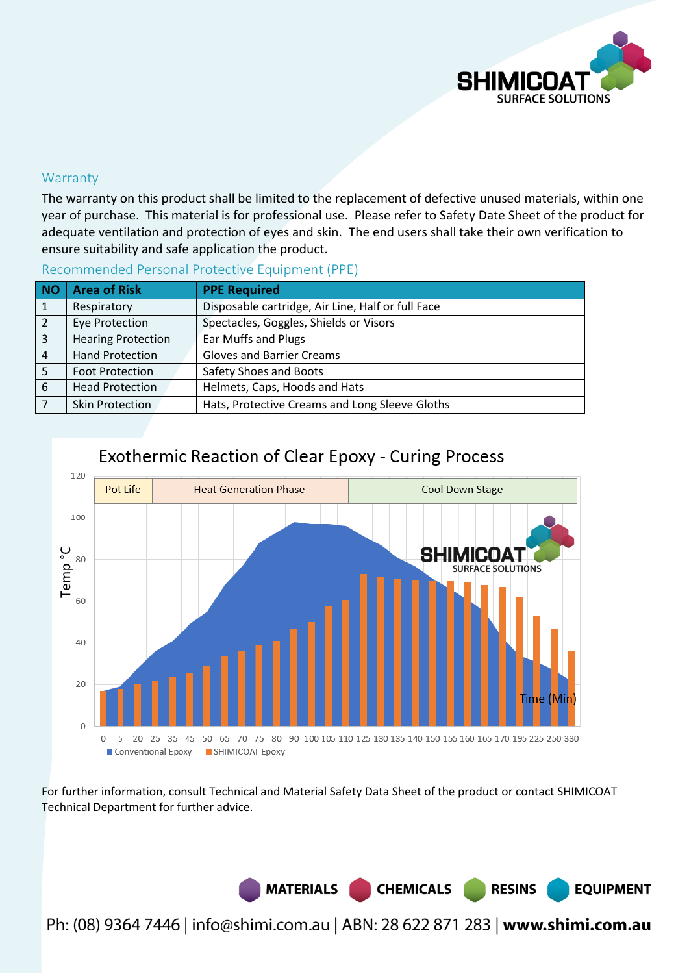

#### **Warranty**

The warranty on this product shall be limited to the replacement of defective unused materials, within one year of purchase. This material is for professional use. Please refer to Safety Date Sheet of the product for adequate ventilation and protection of eyes and skin. The end users shall take their own verification to ensure suitability and safe application the product.

| <b>NO</b> | <b>Area of Risk</b>       | <b>PPE Required</b>                               |  |
|-----------|---------------------------|---------------------------------------------------|--|
| 1         | Respiratory               | Disposable cartridge, Air Line, Half or full Face |  |
| 2         | <b>Eye Protection</b>     | Spectacles, Goggles, Shields or Visors            |  |
| 3         | <b>Hearing Protection</b> | Ear Muffs and Plugs                               |  |
| 4         | <b>Hand Protection</b>    | <b>Gloves and Barrier Creams</b>                  |  |
|           | <b>Foot Protection</b>    | Safety Shoes and Boots                            |  |
| 6         | <b>Head Protection</b>    | Helmets, Caps, Hoods and Hats                     |  |
|           | <b>Skin Protection</b>    | Hats, Protective Creams and Long Sleeve Gloths    |  |

#### Recommended Personal Protective Equipment (PPE)



# Exothermic Reaction of Clear Epoxy - Curing Process

For further information, consult Technical and Material Safety Data Sheet of the product or contact SHIMICOAT Technical Department for further advice.

> MATERIALS CHEMICALS **RESINS EQUIPMENT**